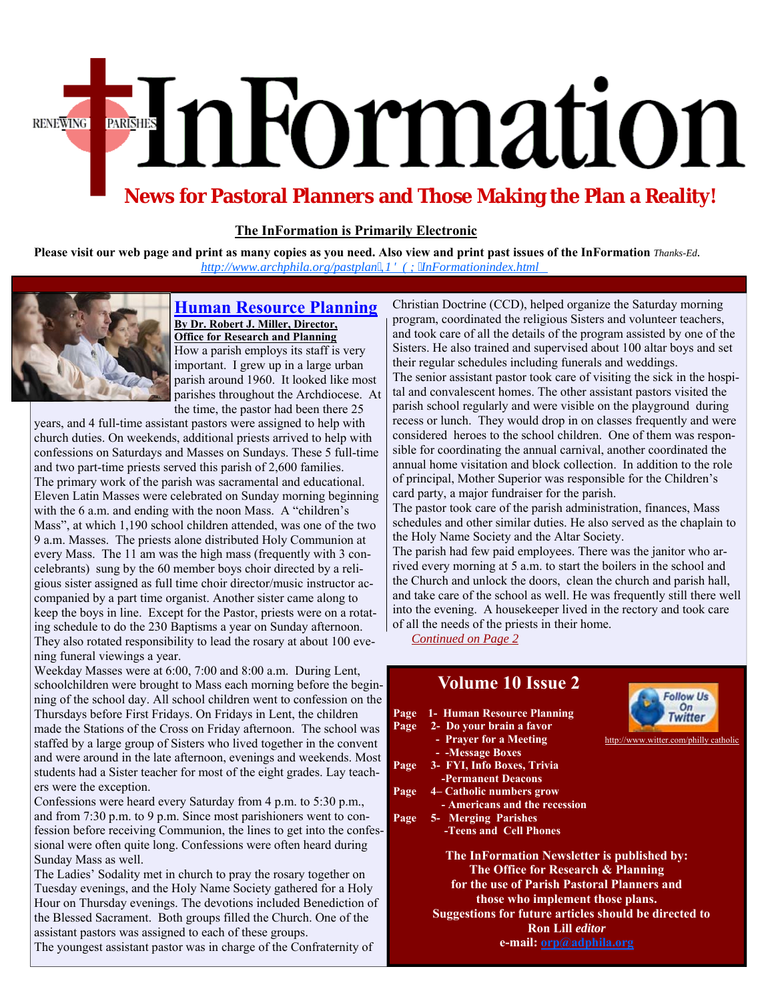# EInFormation **RENEWING**

# **News for Pastoral Planners and Those Making the Plan a Reality!**

# **The InFormation is Primarily Electronic**

**Please visit our web page [and print as many copies as you need. Also view and print past issues of th](http://www.archphila.org/pastplan/INDEX/InFormationindex.html)e InFormation** *Thanks-Ed. http://www.archphila.org/pastplan,1'(;InFormationindex.html*



#### **Human Resource Planning By Dr. Robert J. Miller, Director, Office for Research and Planning** How a parish employs its staff is very important. I grew up in a large urban parish around 1960. It looked like most parishes throughout the Archdiocese. At the time, the pastor had been there 25

years, and 4 full-time assistant pastors were assigned to help with church duties. On weekends, additional priests arrived to help with confessions on Saturdays and Masses on Sundays. These 5 full-time and two part-time priests served this parish of 2,600 families. The primary work of the parish was sacramental and educational. Eleven Latin Masses were celebrated on Sunday morning beginning with the 6 a.m. and ending with the noon Mass. A "children's Mass", at which 1,190 school children attended, was one of the two 9 a.m. Masses. The priests alone distributed Holy Communion at every Mass. The 11 am was the high mass (frequently with 3 concelebrants) sung by the 60 member boys choir directed by a religious sister assigned as full time choir director/music instructor accompanied by a part time organist. Another sister came along to keep the boys in line. Except for the Pastor, priests were on a rotating schedule to do the 230 Baptisms a year on Sunday afternoon. They also rotated responsibility to lead the rosary at about 100 evening funeral viewings a year.

Weekday Masses were at 6:00, 7:00 and 8:00 a.m. During Lent, schoolchildren were brought to Mass each morning before the beginning of the school day. All school children went to confession on the Thursdays before First Fridays. On Fridays in Lent, the children made the Stations of the Cross on Friday afternoon. The school was staffed by a large group of Sisters who lived together in the convent and were around in the late afternoon, evenings and weekends. Mos students had a Sister teacher for most of the eight grades. Lay teachers were the exception.

Confessions were heard every Saturday from 4 p.m. to 5:30 p.m., and from 7:30 p.m. to 9 p.m. Since most parishioners went to confession before receiving Communion, the lines to get into the confessional were often quite long. Confessions were often heard during Sunday Mass as well.

The Ladies' Sodality met in church to pray the rosary together on Tuesday evenings, and the Holy Name Society gathered for a Holy Hour on Thursday evenings. The devotions included Benediction of the Blessed Sacrament. Both groups filled the Church. One of the assistant pastors was assigned to each of these groups. The youngest assistant pastor was in charge of the Confraternity of

Christian Doctrine (CCD), helped organize the Saturday morning program, coordinated the religious Sisters and volunteer teachers, and took care of all the details of the program assisted by one of the Sisters. He also trained and supervised about 100 altar boys and set their regular schedules including funerals and weddings. The senior assistant pastor took care of visiting the sick in the hospital and convalescent homes. The other assistant pastors visited the parish school regularly and were visible on the playground during recess or lunch. They would drop in on classes frequently and were considered heroes to the school children. One of them was responsible for coordinating the annual carnival, another coordinated the annual home visitation and block collection. In addition to the role of principal, Mother Superior was responsible for the Children's card party, a major fundraiser for the parish.

The pastor took care of the parish administration, finances, Mass schedules and other similar duties. He also served as the chaplain to the Holy Name Society and the Altar Society.

The parish had few paid employees. There was the janitor who arrived every morning at 5 a.m. to start the boilers in the school and the Church and unlock the doors, clean the church and parish hall, and take care of the school as well. He was frequently still there well into the evening. A housekeeper lived in the rectory and took care of all the needs of the priests in their home.

*Continued on Page 2*

| $\mathbf{1}$ -<br>e |                                                       | <b>Volume 10 Issue 2</b>        | <b>Follow Us</b>                      |
|---------------------|-------------------------------------------------------|---------------------------------|---------------------------------------|
|                     |                                                       | Page 1- Human Resource Planning |                                       |
|                     |                                                       | Page 2- Do your brain a favor   |                                       |
|                     |                                                       | - Prayer for a Meeting          | http://www.witter.com/philly catholic |
| st.                 |                                                       | - - Message Boxes               |                                       |
|                     | Page                                                  | 3- FYI, Info Boxes, Trivia      |                                       |
|                     |                                                       | <b>-Permanent Deacons</b>       |                                       |
|                     | Page                                                  | 4– Catholic numbers grow        |                                       |
|                     |                                                       | - Americans and the recession   |                                       |
|                     | Page                                                  | 5- Merging Parishes             |                                       |
|                     |                                                       | -Teens and Cell Phones          |                                       |
|                     | The InFormation Newsletter is published by:           |                                 |                                       |
|                     | The Office for Research & Planning                    |                                 |                                       |
|                     | for the use of Parish Pastoral Planners and           |                                 |                                       |
|                     | those who implement those plans.                      |                                 |                                       |
|                     | Suggestions for future articles should be directed to |                                 |                                       |
|                     | <b>Ron Lill editor</b>                                |                                 |                                       |
|                     |                                                       |                                 |                                       |

**e-mail: orp@adphila.org**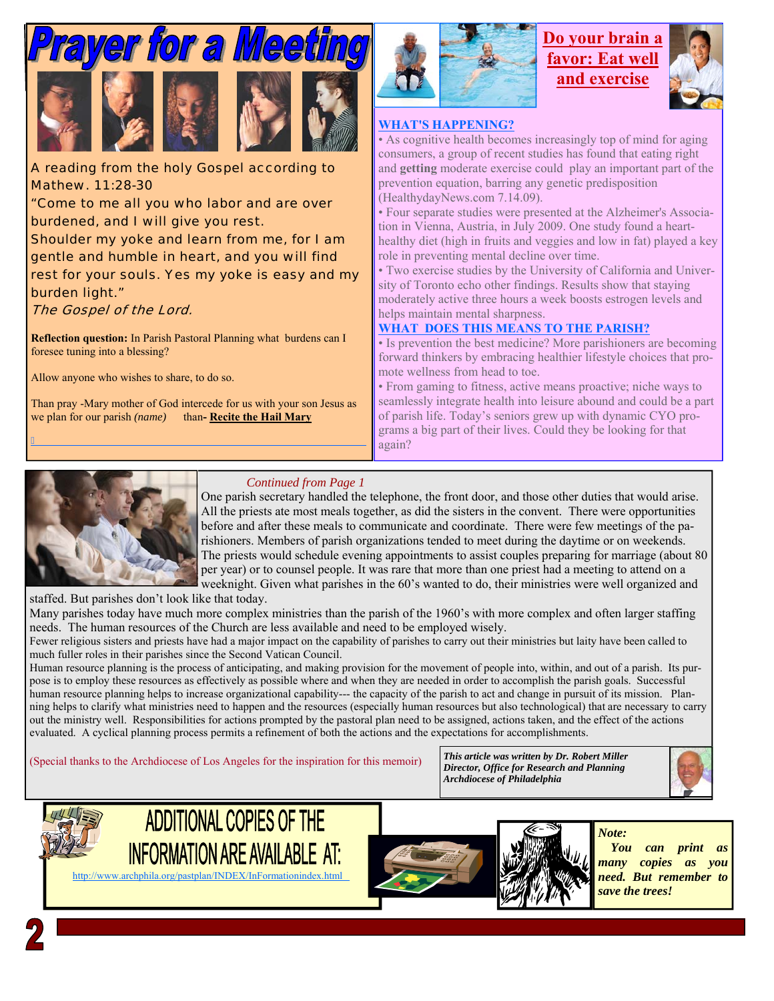

A reading from the holy Gospel according to Mathew. 11:28-30

"Come to me all you who labor and are over burdened, and I will give you rest.

Shoulder my yoke and learn from me, for I am gentle and humble in heart, and you will find rest for your souls. Yes my yoke is easy and my burden light."

# The Gospel of the Lord.

**Reflection question:** In Parish Pastoral Planning what burdens can I foresee tuning into a blessing?

Allow anyone who wishes to share, to do so.

Than pray -Mary mother of God intercede for us with your son Jesus as we plan for our parish *(name)* than**- Recite the Hail Mary** 



# **Do your brain a favor: Eat well and exercise**



### **WHAT'S HAPPENING?**

• As cognitive health becomes increasingly top of mind for aging consumers, a group of recent studies has found that eating right and **getting** moderate exercise could play an important part of the prevention equation, barring any genetic predisposition (HealthydayNews.com 7.14.09).

• Four separate studies were presented at the Alzheimer's Association in Vienna, Austria, in July 2009. One study found a hearthealthy diet (high in fruits and veggies and low in fat) played a key role in preventing mental decline over time.

• Two exercise studies by the University of California and University of Toronto echo other findings. Results show that staying moderately active three hours a week boosts estrogen levels and helps maintain mental sharpness.

# **WHAT DOES THIS MEANS TO THE PARISH?**

• Is prevention the best medicine? More parishioners are becoming forward thinkers by embracing healthier lifestyle choices that promote wellness from head to toe.

• From gaming to fitness, active means proactive; niche ways to seamlessly integrate health into leisure abound and could be a part of parish life. Today's seniors grew up with dynamic CYO programs a big part of their lives. Could they be looking for that again?



 $\overline{a}$ 

# *Continued from Page 1*

One parish secretary handled the telephone, the front door, and those other duties that would arise. All the priests ate most meals together, as did the sisters in the convent. There were opportunities before and after these meals to communicate and coordinate. There were few meetings of the parishioners. Members of parish organizations tended to meet during the daytime or on weekends. The priests would schedule evening appointments to assist couples preparing for marriage (about 80 per year) or to counsel people. It was rare that more than one priest had a meeting to attend on a weeknight. Given what parishes in the 60's wanted to do, their ministries were well organized and

staffed. But parishes don't look like that today.

Many parishes today have much more complex ministries than the parish of the 1960's with more complex and often larger staffing needs. The human resources of the Church are less available and need to be employed wisely.

Fewer religious sisters and priests have had a major impact on the capability of parishes to carry out their ministries but laity have been called to much fuller roles in their parishes since the Second Vatican Council.

Human resource planning is the process of anticipating, and making provision for the movement of people into, within, and out of a parish. Its purpose is to employ these resources as effectively as possible where and when they are needed in order to accomplish the parish goals. Successful human resource planning helps to increase organizational capability--- the capacity of the parish to act and change in pursuit of its mission. Planning helps to clarify what ministries need to happen and the resources (especially human resources but also technological) that are necessary to carry out the ministry well. Responsibilities for actions prompted by the pastoral plan need to be assigned, actions taken, and the effect of the actions evaluated. A cyclical planning process permits a refinement of both the actions and the expectations for accomplishments.

(Special thanks to the Archdiocese of Los Angeles for the inspiration for this memoir) *This article was written by Dr. Robert Miller* 

*Director, Office for Research and Planning Archdiocese of Philadelphia* 











 *You can print as many copies as you need. But remember to save the trees!*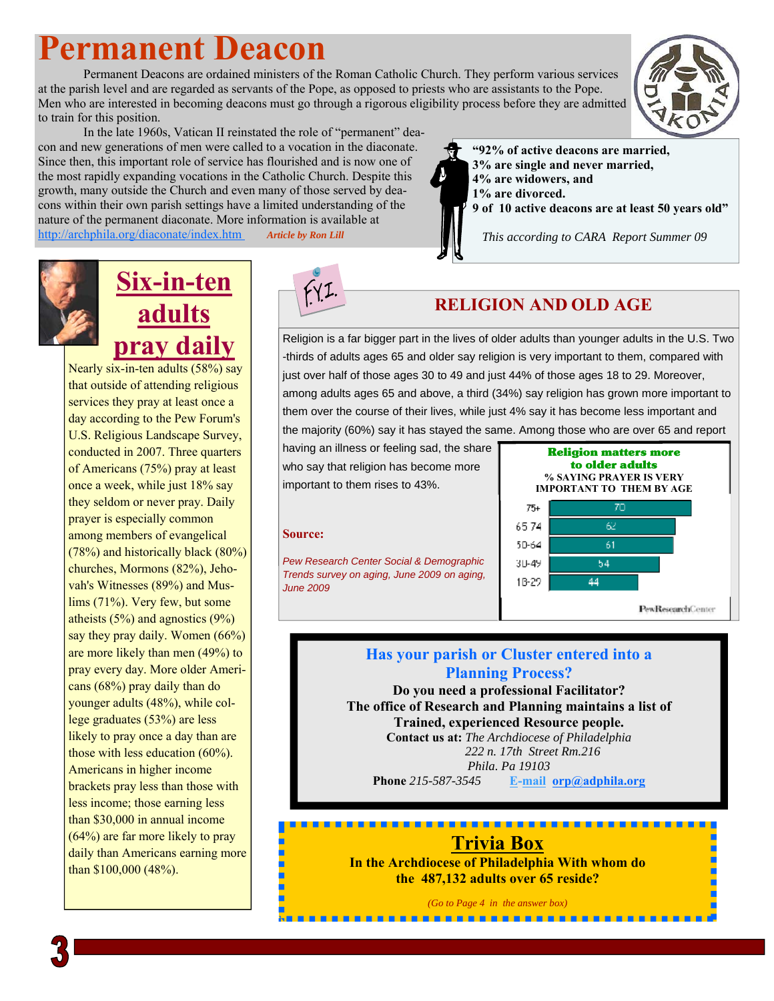# **Permanent Deacon**

 Permanent Deacons are ordained ministers of the Roman Catholic Church. They perform various services at the parish level and are regarded as servants of the Pope, as opposed to priests who are assistants to the Pope. Men who are interested in becoming deacons must go through a rigorous eligibility process before they are admitted to train for this position.



 In the late 1960s, Vatican II reinstated the role of "permanent" deacon and new generations of men were called to a vocation in the diaconate. Since then, this important role of service has flourished and is now one of the most rapidly expanding vocations in the Catholic Church. Despite this growth, many outside the Church and even many of those served by deacons within their own parish settings have a limited understanding of the nature of the permanent diaconate. More information is available at http://archphila.org/diaconate/index.htm *Article by Ron Lill* 



 *This according to CARA Report Summer 09*

# **Six-in-ten adults pray daily**

Nearly six-in-ten adults (58%) say that outside of attending religious services they pray at least once a day according to the Pew Forum's U.S. Religious Landscape Survey, conducted in 2007. Three quarters of Americans (75%) pray at least once a week, while just 18% say they seldom or never pray. Daily prayer is especially common among members of evangelical (78%) and historically black (80%) churches, Mormons (82%), Jehovah's Witnesses (89%) and Muslims (71%). Very few, but some atheists (5%) and agnostics (9%) say they pray daily. Women (66%) are more likely than men (49%) to pray every day. More older Americans (68%) pray daily than do younger adults (48%), while college graduates (53%) are less likely to pray once a day than are those with less education (60%). Americans in higher income brackets pray less than those with less income; those earning less than \$30,000 in annual income (64%) are far more likely to pray daily than Americans earning more than \$100,000 (48%).



# **RELIGION AND OLD AGE**

Religion is a far bigger part in the lives of older adults than younger adults in the U.S. Two -thirds of adults ages 65 and older say religion is very important to them, compared with just over half of those ages 30 to 49 and just 44% of those ages 18 to 29. Moreover, among adults ages 65 and above, a third (34%) say religion has grown more important to them over the course of their lives, while just 4% say it has become less important and the majority (60%) say it has stayed the same. Among those who are over 65 and report

having an illness or feeling sad, the share who say that religion has become more important to them rises to 43%.

## **Source:**

*Pew Research Center Social & Demographic Trends survey on aging, June 2009 on aging, June 2009*



# **Has your parish or Cluster entered into a Planning Process?**

**Do you need a professional Facilitator? The office of Research and Planning maintains a list of Trained, experienced Resource people. Contact us at:** *The Archdiocese of Philadelphia 222 n. 17th Street Rm.216 Phila. Pa 19103*  **Phone** *215-587-3545* **E-mail orp@adphila.org**

# **Trivia Box**

**In the Archdiocese of Philadelphia With whom do the 487,132 adults over 65 reside?** 

*(Go to Page 4 in the answer box)* 

---------------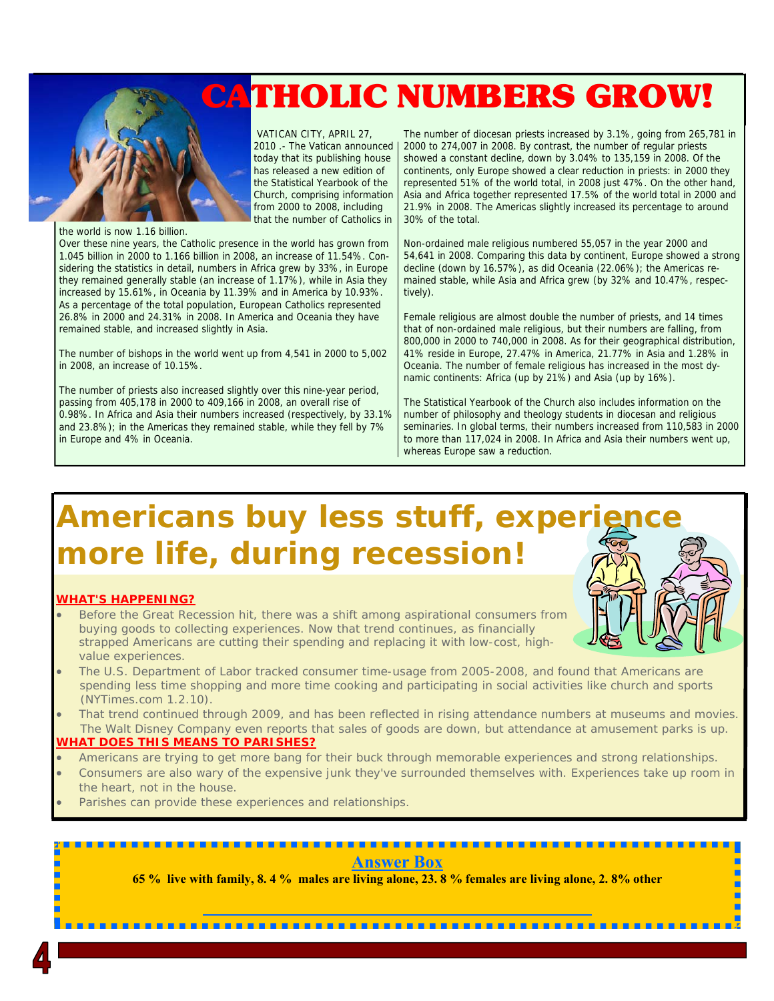# CATHOLIC NUMBERS GROW!



 VATICAN CITY, APRIL 27, 2010 .- The Vatican announced today that its publishing house has released a new edition of the Statistical Yearbook of the Church, comprising information from 2000 to 2008, including that the number of Catholics in

the world is now 1.16 billion.

Over these nine years, the Catholic presence in the world has grown from 1.045 billion in 2000 to 1.166 billion in 2008, an increase of 11.54%. Considering the statistics in detail, numbers in Africa grew by 33%, in Europe they remained generally stable (an increase of 1.17%), while in Asia they increased by 15.61%, in Oceania by 11.39% and in America by 10.93%. As a percentage of the total population, European Catholics represented 26.8% in 2000 and 24.31% in 2008. In America and Oceania they have remained stable, and increased slightly in Asia.

The number of bishops in the world went up from 4,541 in 2000 to 5,002 in 2008, an increase of 10.15%.

The number of priests also increased slightly over this nine-year period, passing from 405,178 in 2000 to 409,166 in 2008, an overall rise of 0.98%. In Africa and Asia their numbers increased (respectively, by 33.1% and 23.8%); in the Americas they remained stable, while they fell by 7% in Europe and 4% in Oceania.

The number of diocesan priests increased by 3.1%, going from 265,781 in 2000 to 274,007 in 2008. By contrast, the number of regular priests showed a constant decline, down by 3.04% to 135,159 in 2008. Of the continents, only Europe showed a clear reduction in priests: in 2000 they represented 51% of the world total, in 2008 just 47%. On the other hand, Asia and Africa together represented 17.5% of the world total in 2000 and 21.9% in 2008. The Americas slightly increased its percentage to around 30% of the total.

Non-ordained male religious numbered 55,057 in the year 2000 and 54,641 in 2008. Comparing this data by continent, Europe showed a strong decline (down by 16.57%), as did Oceania (22.06%); the Americas remained stable, while Asia and Africa grew (by 32% and 10.47%, respectively).

Female religious are almost double the number of priests, and 14 times that of non-ordained male religious, but their numbers are falling, from 800,000 in 2000 to 740,000 in 2008. As for their geographical distribution, 41% reside in Europe, 27.47% in America, 21.77% in Asia and 1.28% in Oceania. The number of female religious has increased in the most dynamic continents: Africa (up by 21%) and Asia (up by 16%).

The Statistical Yearbook of the Church also includes information on the number of philosophy and theology students in diocesan and religious seminaries. In global terms, their numbers increased from 110,583 in 2000 to more than 117,024 in 2008. In Africa and Asia their numbers went up, whereas Europe saw a reduction.

# **Americans buy less stuff, experi more life, during recession!**

#### **WHAT'S HAPPENING?**

- Before the Great Recession hit, there was a shift among aspirational consumers from buying goods to collecting experiences. Now that trend continues, as financially strapped Americans are cutting their spending and replacing it with low-cost, highvalue experiences.
- The U.S. Department of Labor tracked consumer time-usage from 2005-2008, and found that Americans are spending less time shopping and more time cooking and participating in social activities like church and sports (NYTimes.com 1.2.10).
- That trend continued through 2009, and has been reflected in rising attendance numbers at museums and movies. The Walt Disney Company even reports that sales of goods are down, but attendance at amusement parks is up.

## **WHAT DOES THIS MEANS TO PARISHES?**

- Americans are trying to get more bang for their buck through memorable experiences and strong relationships.
- Consumers are also wary of the expensive junk they've surrounded themselves with. Experiences take up room in the heart, not in the house.
- Parishes can provide these experiences and relationships.